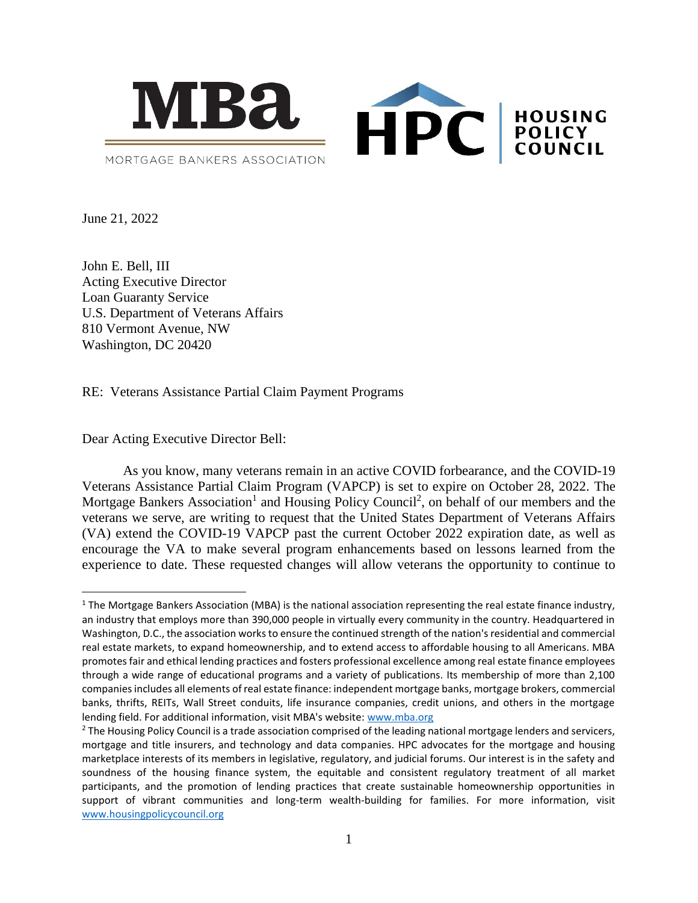

June 21, 2022

John E. Bell, III Acting Executive Director Loan Guaranty Service U.S. Department of Veterans Affairs 810 Vermont Avenue, NW Washington, DC 20420

RE: Veterans Assistance Partial Claim Payment Programs

Dear Acting Executive Director Bell:

As you know, many veterans remain in an active COVID forbearance, and the COVID-19 Veterans Assistance Partial Claim Program (VAPCP) is set to expire on October 28, 2022. The Mortgage Bankers Association<sup>1</sup> and Housing Policy Council<sup>2</sup>, on behalf of our members and the veterans we serve, are writing to request that the United States Department of Veterans Affairs (VA) extend the COVID-19 VAPCP past the current October 2022 expiration date, as well as encourage the VA to make several program enhancements based on lessons learned from the experience to date. These requested changes will allow veterans the opportunity to continue to

 $1$  The Mortgage Bankers Association (MBA) is the national association representing the real estate finance industry, an industry that employs more than 390,000 people in virtually every community in the country. Headquartered in Washington, D.C., the association works to ensure the continued strength of the nation's residential and commercial real estate markets, to expand homeownership, and to extend access to affordable housing to all Americans. MBA promotes fair and ethical lending practices and fosters professional excellence among real estate finance employees through a wide range of educational programs and a variety of publications. Its membership of more than 2,100 companies includes all elements of real estate finance: independent mortgage banks, mortgage brokers, commercial banks, thrifts, REITs, Wall Street conduits, life insurance companies, credit unions, and others in the mortgage lending field. For additional information, visit MBA's website: [www.mba.org](http://www.mba.org/)

<sup>&</sup>lt;sup>2</sup> The Housing Policy Council is a trade association comprised of the leading national mortgage lenders and servicers, mortgage and title insurers, and technology and data companies. HPC advocates for the mortgage and housing marketplace interests of its members in legislative, regulatory, and judicial forums. Our interest is in the safety and soundness of the housing finance system, the equitable and consistent regulatory treatment of all market participants, and the promotion of lending practices that create sustainable homeownership opportunities in support of vibrant communities and long-term wealth-building for families. For more information, visit [www.housingpolicycouncil.org](http://www.housingpolicycouncil.org/)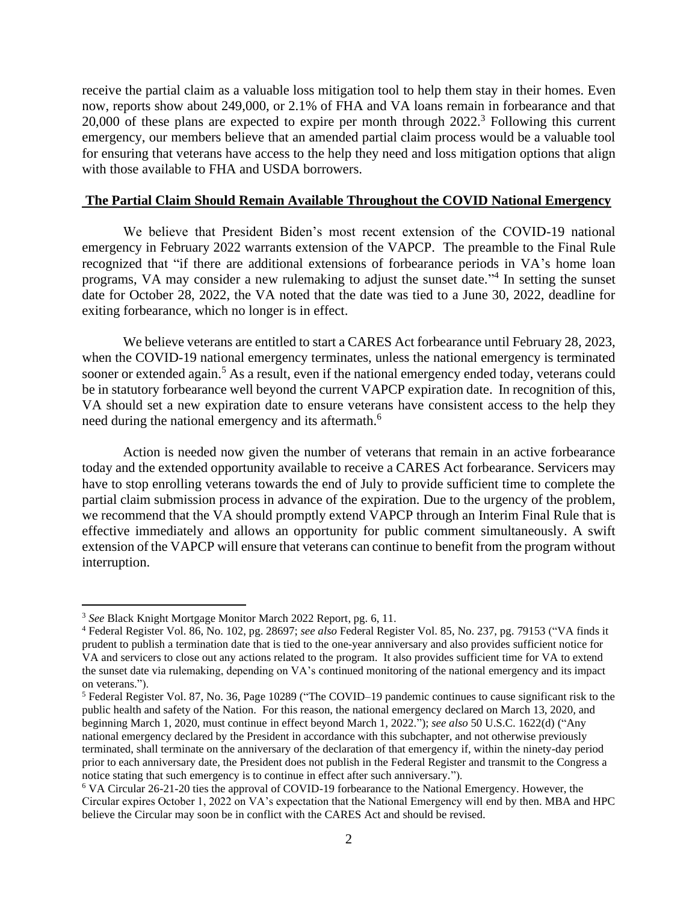receive the partial claim as a valuable loss mitigation tool to help them stay in their homes. Even now, reports show about 249,000, or 2.1% of FHA and VA loans remain in forbearance and that 20,000 of these plans are expected to expire per month through 2022.<sup>3</sup> Following this current emergency, our members believe that an amended partial claim process would be a valuable tool for ensuring that veterans have access to the help they need and loss mitigation options that align with those available to FHA and USDA borrowers.

## **The Partial Claim Should Remain Available Throughout the COVID National Emergency**

We believe that President Biden's most recent extension of the COVID-19 national emergency in February 2022 warrants extension of the VAPCP. The preamble to the Final Rule recognized that "if there are additional extensions of forbearance periods in VA's home loan programs, VA may consider a new rulemaking to adjust the sunset date."<sup>4</sup> In setting the sunset date for October 28, 2022, the VA noted that the date was tied to a June 30, 2022, deadline for exiting forbearance, which no longer is in effect.

We believe veterans are entitled to start a CARES Act forbearance until February 28, 2023, when the COVID-19 national emergency terminates, unless the national emergency is terminated sooner or extended again.<sup>5</sup> As a result, even if the national emergency ended today, veterans could be in statutory forbearance well beyond the current VAPCP expiration date. In recognition of this, VA should set a new expiration date to ensure veterans have consistent access to the help they need during the national emergency and its aftermath.<sup>6</sup>

Action is needed now given the number of veterans that remain in an active forbearance today and the extended opportunity available to receive a CARES Act forbearance. Servicers may have to stop enrolling veterans towards the end of July to provide sufficient time to complete the partial claim submission process in advance of the expiration. Due to the urgency of the problem, we recommend that the VA should promptly extend VAPCP through an Interim Final Rule that is effective immediately and allows an opportunity for public comment simultaneously. A swift extension of the VAPCP will ensure that veterans can continue to benefit from the program without interruption.

<sup>3</sup> *See* Black Knight Mortgage Monitor March 2022 Report, pg. 6, 11.

<sup>4</sup> Federal Register Vol. 86, No. 102, pg. 28697; *see also* Federal Register Vol. 85, No. 237, pg. 79153 ("VA finds it prudent to publish a termination date that is tied to the one-year anniversary and also provides sufficient notice for VA and servicers to close out any actions related to the program. It also provides sufficient time for VA to extend the sunset date via rulemaking, depending on VA's continued monitoring of the national emergency and its impact on veterans.").

<sup>5</sup> Federal Register Vol. 87, No. 36, Page 10289 ("The COVID–19 pandemic continues to cause significant risk to the public health and safety of the Nation. For this reason, the national emergency declared on March 13, 2020, and beginning March 1, 2020, must continue in effect beyond March 1, 2022."); *see also* 50 U.S.C. 1622(d) ("Any national emergency declared by the President in accordance with this subchapter, and not otherwise previously terminated, shall terminate on the anniversary of the declaration of that emergency if, within the ninety-day period prior to each anniversary date, the President does not publish in the Federal Register and transmit to the Congress a notice stating that such emergency is to continue in effect after such anniversary.").

<sup>6</sup> VA Circular 26-21-20 ties the approval of COVID-19 forbearance to the National Emergency. However, the Circular expires October 1, 2022 on VA's expectation that the National Emergency will end by then. MBA and HPC believe the Circular may soon be in conflict with the CARES Act and should be revised.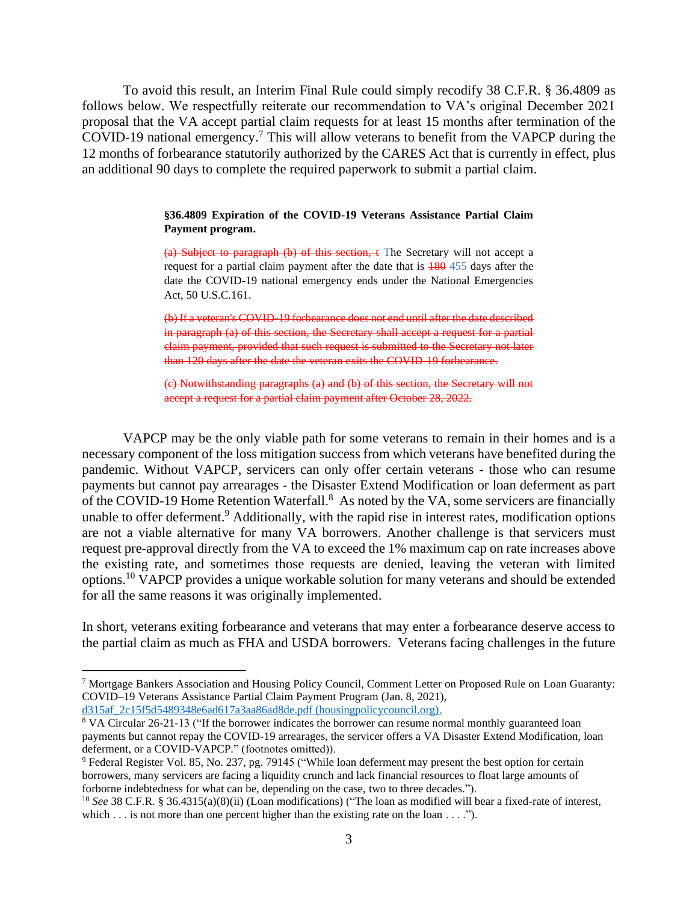To avoid this result, an Interim Final Rule could simply recodify 38 C.F.R. § 36.4809 as follows below. We respectfully reiterate our recommendation to VA's original December 2021 proposal that the VA accept partial claim requests for at least 15 months after termination of the COVID-19 national emergency. <sup>7</sup> This will allow veterans to benefit from the VAPCP during the 12 months of forbearance statutorily authorized by the CARES Act that is currently in effect, plus an additional 90 days to complete the required paperwork to submit a partial claim.

#### **§36.4809 Expiration of the COVID-19 Veterans Assistance Partial Claim Payment program.**

(a) Subject to paragraph (b) of this section,  $\epsilon$  The Secretary will not accept a request for a partial claim payment after the date that is 180 455 days after the date the COVID-19 national emergency ends under the National Emergencies Act, 50 U.S.C.161.

(b) If a veteran's COVID-19 forbearance does not end until after the date described in paragraph (a) of this section, the Secretary shall accept a request for a partial claim payment, provided that such request is submitted to the Secretary not later than 120 days after the date the veteran exits the COVID-19 forbearance.

(c) Notwithstanding paragraphs (a) and (b) of this section, the Secretary will not accept a request for a partial claim payment after October 28, 2022.

VAPCP may be the only viable path for some veterans to remain in their homes and is a necessary component of the loss mitigation success from which veterans have benefited during the pandemic. Without VAPCP, servicers can only offer certain veterans - those who can resume payments but cannot pay arrearages - the Disaster Extend Modification or loan deferment as part of the COVID-19 Home Retention Waterfall. $8$  As noted by the VA, some servicers are financially unable to offer deferment.<sup>9</sup> Additionally, with the rapid rise in interest rates, modification options are not a viable alternative for many VA borrowers. Another challenge is that servicers must request pre-approval directly from the VA to exceed the 1% maximum cap on rate increases above the existing rate, and sometimes those requests are denied, leaving the veteran with limited options.<sup>10</sup> VAPCP provides a unique workable solution for many veterans and should be extended for all the same reasons it was originally implemented.

In short, veterans exiting forbearance and veterans that may enter a forbearance deserve access to the partial claim as much as FHA and USDA borrowers. Veterans facing challenges in the future

<sup>7</sup> Mortgage Bankers Association and Housing Policy Council, Comment Letter on Proposed Rule on Loan Guaranty: COVID–19 Veterans Assistance Partial Claim Payment Program (Jan. 8, 2021), [d315af\\_2c15f5d5489348e6ad617a3aa86ad8de.pdf \(housingpolicycouncil.org\).](https://www.housingpolicycouncil.org/_files/ugd/d315af_2c15f5d5489348e6ad617a3aa86ad8de.pdf)

<sup>&</sup>lt;sup>8</sup> VA Circular 26-21-13 ("If the borrower indicates the borrower can resume normal monthly guaranteed loan payments but cannot repay the COVID-19 arrearages, the servicer offers a VA Disaster Extend Modification, loan deferment, or a COVID-VAPCP." (footnotes omitted)).

<sup>9</sup> Federal Register Vol. 85, No. 237, pg. 79145 ("While loan deferment may present the best option for certain borrowers, many servicers are facing a liquidity crunch and lack financial resources to float large amounts of forborne indebtedness for what can be, depending on the case, two to three decades.").

<sup>&</sup>lt;sup>10</sup> See 38 C.F.R. § 36.4315(a)(8)(ii) (Loan modifications) ("The loan as modified will bear a fixed-rate of interest, which  $\dots$  is not more than one percent higher than the existing rate on the loan  $\dots$ .").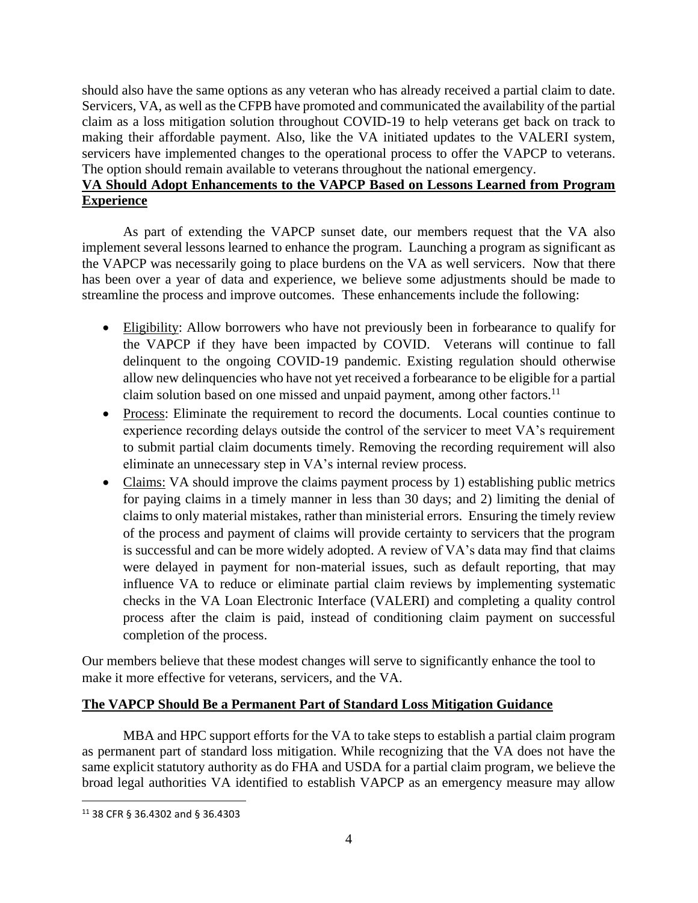should also have the same options as any veteran who has already received a partial claim to date. Servicers, VA, as well as the CFPB have promoted and communicated the availability of the partial claim as a loss mitigation solution throughout COVID-19 to help veterans get back on track to making their affordable payment. Also, like the VA initiated updates to the VALERI system, servicers have implemented changes to the operational process to offer the VAPCP to veterans. The option should remain available to veterans throughout the national emergency.

# **VA Should Adopt Enhancements to the VAPCP Based on Lessons Learned from Program Experience**

As part of extending the VAPCP sunset date, our members request that the VA also implement several lessons learned to enhance the program. Launching a program as significant as the VAPCP was necessarily going to place burdens on the VA as well servicers. Now that there has been over a year of data and experience, we believe some adjustments should be made to streamline the process and improve outcomes. These enhancements include the following:

- Eligibility: Allow borrowers who have not previously been in forbearance to qualify for the VAPCP if they have been impacted by COVID. Veterans will continue to fall delinquent to the ongoing COVID-19 pandemic. Existing regulation should otherwise allow new delinquencies who have not yet received a forbearance to be eligible for a partial claim solution based on one missed and unpaid payment, among other factors.<sup>11</sup>
- Process: Eliminate the requirement to record the documents. Local counties continue to experience recording delays outside the control of the servicer to meet VA's requirement to submit partial claim documents timely. Removing the recording requirement will also eliminate an unnecessary step in VA's internal review process.
- Claims: VA should improve the claims payment process by 1) establishing public metrics for paying claims in a timely manner in less than 30 days; and 2) limiting the denial of claims to only material mistakes, rather than ministerial errors. Ensuring the timely review of the process and payment of claims will provide certainty to servicers that the program is successful and can be more widely adopted. A review of VA's data may find that claims were delayed in payment for non-material issues, such as default reporting, that may influence VA to reduce or eliminate partial claim reviews by implementing systematic checks in the VA Loan Electronic Interface (VALERI) and completing a quality control process after the claim is paid, instead of conditioning claim payment on successful completion of the process.

Our members believe that these modest changes will serve to significantly enhance the tool to make it more effective for veterans, servicers, and the VA.

## **The VAPCP Should Be a Permanent Part of Standard Loss Mitigation Guidance**

MBA and HPC support efforts for the VA to take steps to establish a partial claim program as permanent part of standard loss mitigation. While recognizing that the VA does not have the same explicit statutory authority as do FHA and USDA for a partial claim program, we believe the broad legal authorities VA identified to establish VAPCP as an emergency measure may allow

<sup>11</sup> 38 CFR § 36.4302 and § 36.4303